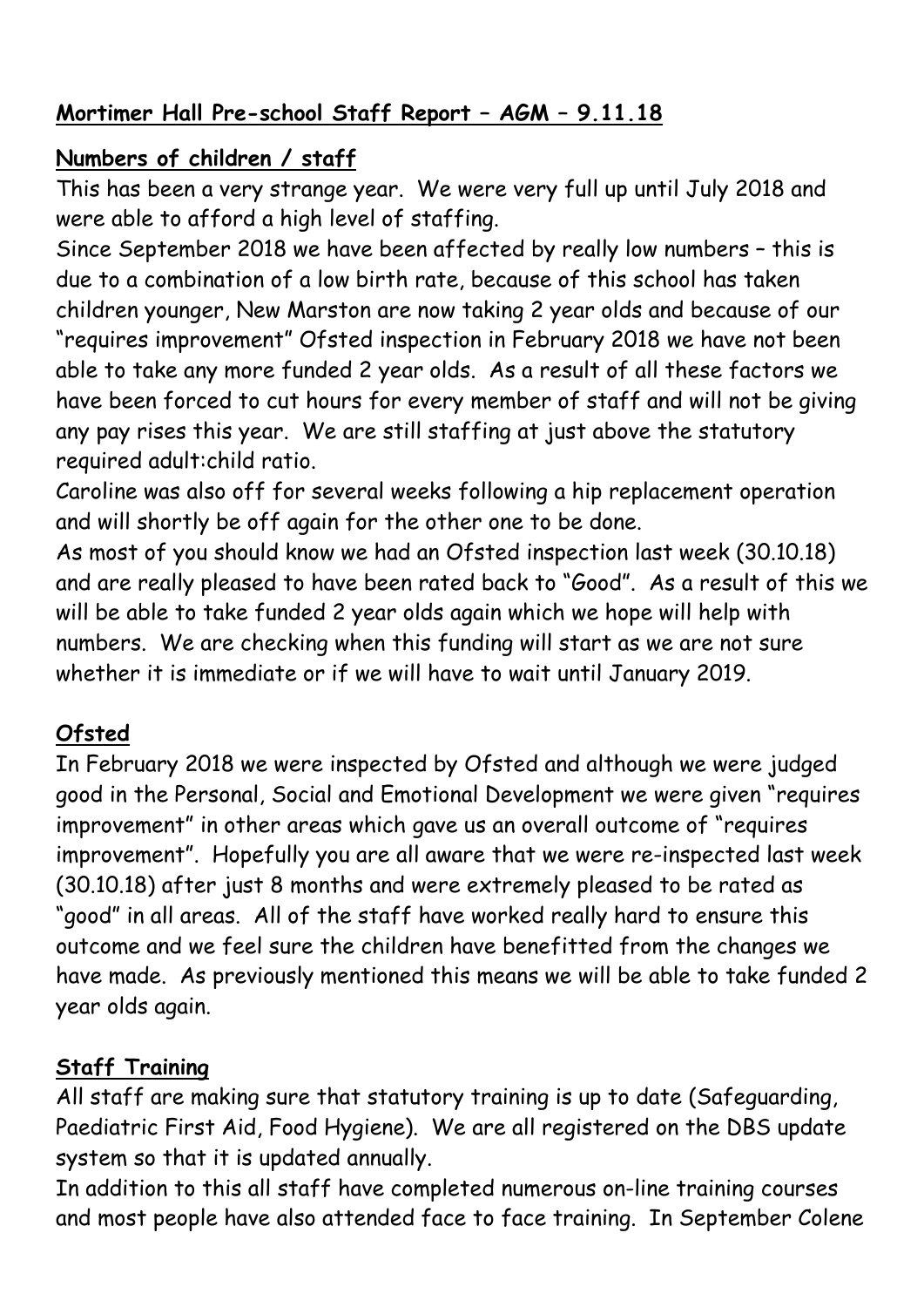### **Mortimer Hall Pre-school Staff Report – AGM – 9.11.18**

## **Numbers of children / staff**

This has been a very strange year. We were very full up until July 2018 and were able to afford a high level of staffing.

Since September 2018 we have been affected by really low numbers – this is due to a combination of a low birth rate, because of this school has taken children younger, New Marston are now taking 2 year olds and because of our "requires improvement" Ofsted inspection in February 2018 we have not been able to take any more funded 2 year olds. As a result of all these factors we have been forced to cut hours for every member of staff and will not be giving any pay rises this year. We are still staffing at just above the statutory required adult:child ratio.

Caroline was also off for several weeks following a hip replacement operation and will shortly be off again for the other one to be done.

As most of you should know we had an Ofsted inspection last week (30.10.18) and are really pleased to have been rated back to "Good". As a result of this we will be able to take funded 2 year olds again which we hope will help with numbers. We are checking when this funding will start as we are not sure whether it is immediate or if we will have to wait until January 2019.

# **Ofsted**

In February 2018 we were inspected by Ofsted and although we were judged good in the Personal, Social and Emotional Development we were given "requires improvement" in other areas which gave us an overall outcome of "requires improvement". Hopefully you are all aware that we were re-inspected last week (30.10.18) after just 8 months and were extremely pleased to be rated as "good" in all areas. All of the staff have worked really hard to ensure this outcome and we feel sure the children have benefitted from the changes we have made. As previously mentioned this means we will be able to take funded 2 year olds again.

## **Staff Training**

All staff are making sure that statutory training is up to date (Safeguarding, Paediatric First Aid, Food Hygiene). We are all registered on the DBS update system so that it is updated annually.

In addition to this all staff have completed numerous on-line training courses and most people have also attended face to face training. In September Colene